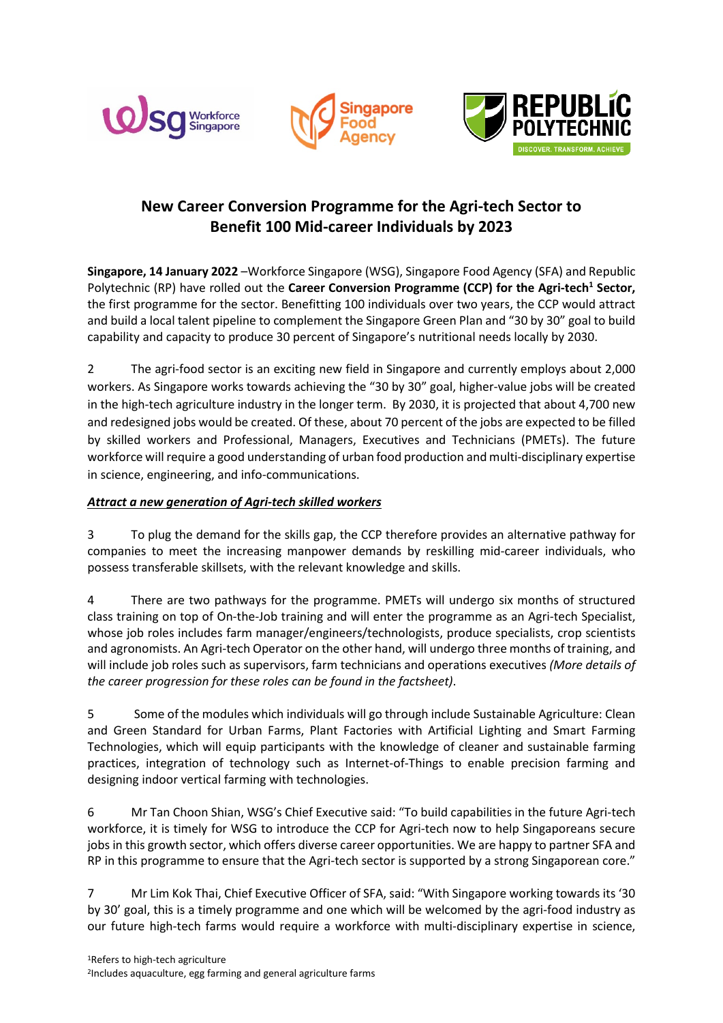





# **New Career Conversion Programme for the Agri-tech Sector to Benefit 100 Mid-career Individuals by 2023**

**Singapore, 14 January 2022** –Workforce Singapore (WSG), Singapore Food Agency (SFA) and Republic Polytechnic (RP) have rolled out the **Career Conversion Programme (CCP) for the Agri-tech<sup>1</sup> Sector,** the first programme for the sector. Benefitting 100 individuals over two years, the CCP would attract and build a local talent pipeline to complement the Singapore Green Plan and "30 by 30" goal to build capability and capacity to produce 30 percent of Singapore's nutritional needs locally by 2030.

2 The agri-food sector is an exciting new field in Singapore and currently employs about 2,000 workers. As Singapore works towards achieving the "30 by 30" goal, higher-value jobs will be created in the high-tech agriculture industry in the longer term. By 2030, it is projected that about 4,700 new and redesigned jobs would be created. Of these, about 70 percent of the jobs are expected to be filled by skilled workers and Professional, Managers, Executives and Technicians (PMETs). The future workforce will require a good understanding of urban food production and multi-disciplinary expertise in science, engineering, and info-communications.

# *Attract a new generation of Agri-tech skilled workers*

3 To plug the demand for the skills gap, the CCP therefore provides an alternative pathway for companies to meet the increasing manpower demands by reskilling mid-career individuals, who possess transferable skillsets, with the relevant knowledge and skills.

4 There are two pathways for the programme. PMETs will undergo six months of structured class training on top of On-the-Job training and will enter the programme as an Agri-tech Specialist, whose job roles includes farm manager/engineers/technologists, produce specialists, crop scientists and agronomists. An Agri-tech Operator on the other hand, will undergo three months of training, and will include job roles such as supervisors, farm technicians and operations executives *(More details of the career progression for these roles can be found in the factsheet)*.

5 Some of the modules which individuals will go through include Sustainable Agriculture: Clean and Green Standard for Urban Farms, Plant Factories with Artificial Lighting and Smart Farming Technologies, which will equip participants with the knowledge of cleaner and sustainable farming practices, integration of technology such as Internet-of-Things to enable precision farming and designing indoor vertical farming with technologies.

6 Mr Tan Choon Shian, WSG's Chief Executive said: "To build capabilities in the future Agri-tech workforce, it is timely for WSG to introduce the CCP for Agri-tech now to help Singaporeans secure jobs in this growth sector, which offers diverse career opportunities. We are happy to partner SFA and RP in this programme to ensure that the Agri-tech sector is supported by a strong Singaporean core."

7 Mr Lim Kok Thai, Chief Executive Officer of SFA, said: "With Singapore working towards its '30 by 30' goal, this is a timely programme and one which will be welcomed by the agri-food industry as our future high-tech farms would require a workforce with multi-disciplinary expertise in science,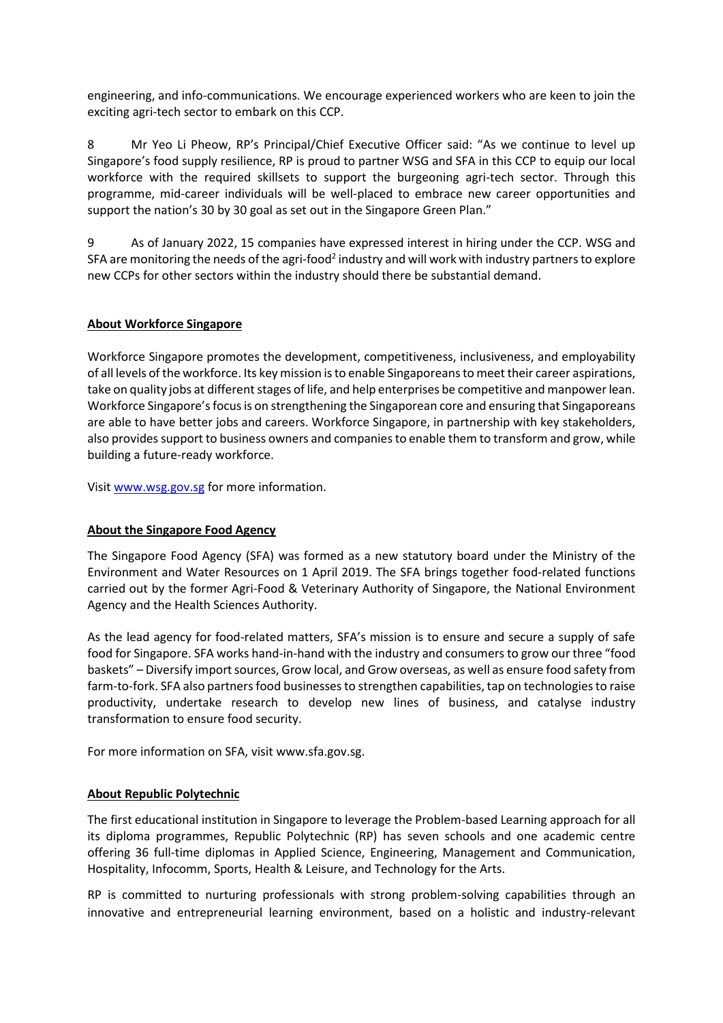engineering, and info-communications. We encourage experienced workers who are keen to join the exciting agri-tech sector to embark on this CCP.

8 Mr Yeo Li Pheow, RP's Principal/Chief Executive Officer said: "As we continue to level up Singapore's food supply resilience, RP is proud to partner WSG and SFA in this CCP to equip our local workforce with the required skillsets to support the burgeoning agri-tech sector. Through this programme, mid-career individuals will be well-placed to embrace new career opportunities and support the nation's 30 by 30 goal as set out in the Singapore Green Plan."

9 As of January 2022, 15 companies have expressed interest in hiring under the CCP. WSG and SFA are monitoring the needs of the agri-food<sup>2</sup> industry and will work with industry partners to explore new CCPs for other sectors within the industry should there be substantial demand.

## **About Workforce Singapore**

Workforce Singapore promotes the development, competitiveness, inclusiveness, and employability of all levels of the workforce. Its key mission is to enable Singaporeans to meet their career aspirations, take on quality jobs at different stages of life, and help enterprises be competitive and manpower lean. Workforce Singapore's focus is on strengthening the Singaporean core and ensuring that Singaporeans are able to have better jobs and careers. Workforce Singapore, in partnership with key stakeholders, also provides support to business owners and companies to enable them to transform and grow, while building a future-ready workforce.

Visit [www.wsg.gov.sg](https://www.ssg-wsg.gov.sg/) for more information.

### **About the Singapore Food Agency**

The Singapore Food Agency (SFA) was formed as a new statutory board under the Ministry of the Environment and Water Resources on 1 April 2019. The SFA brings together food-related functions carried out by the former Agri-Food & Veterinary Authority of Singapore, the National Environment Agency and the Health Sciences Authority.

As the lead agency for food-related matters, SFA's mission is to ensure and secure a supply of safe food for Singapore. SFA works hand-in-hand with the industry and consumers to grow our three "food baskets" – Diversify import sources, Grow local, and Grow overseas, as well as ensure food safety from farm-to-fork. SFA also partners food businesses to strengthen capabilities, tap on technologies to raise productivity, undertake research to develop new lines of business, and catalyse industry transformation to ensure food security.

For more information on SFA, visi[t www.sfa.gov.sg.](http://www.sfa.gov.sg/)

### **About Republic Polytechnic**

The first educational institution in Singapore to leverage the Problem-based Learning approach for all its diploma programmes, Republic Polytechnic (RP) has seven schools and one academic centre offering 36 full-time diplomas in Applied Science, Engineering, Management and Communication, Hospitality, Infocomm, Sports, Health & Leisure, and Technology for the Arts.

RP is committed to nurturing professionals with strong problem-solving capabilities through an innovative and entrepreneurial learning environment, based on a holistic and industry-relevant